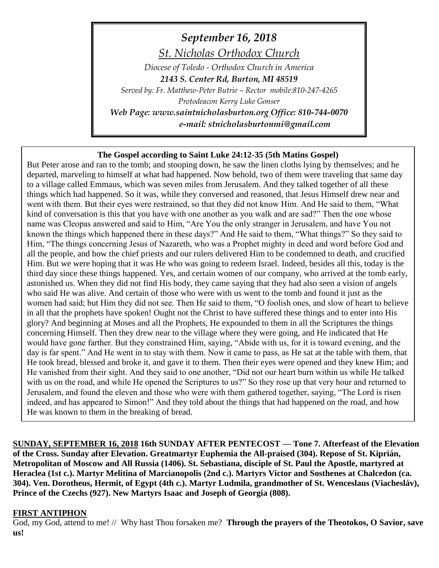*September 16, 2018 St. Nicholas Orthodox Church*

*Diocese of Toledo - Orthodox Church in America 2143 S. Center Rd, Burton, MI 48519 Served by: Fr. Matthew-Peter Butrie – Rector mobile:810-247-4265 Protodeacon Kerry Luke Gonser Web Page: www.saintnicholasburton.org Office: 810-744-0070 e-mail: stnicholasburtonmi@gmail.com*

# **The Gospel according to Saint Luke 24:12-35 (5th Matins Gospel)**

But Peter arose and ran to the tomb; and stooping down, he saw the linen cloths lying by themselves; and he departed, marveling to himself at what had happened. Now behold, two of them were traveling that same day to a village called Emmaus, which was seven miles from Jerusalem. And they talked together of all these things which had happened. So it was, while they conversed and reasoned, that Jesus Himself drew near and went with them. But their eyes were restrained, so that they did not know Him. And He said to them, "What kind of conversation is this that you have with one another as you walk and are sad?" Then the one whose name was Cleopas answered and said to Him, "Are You the only stranger in Jerusalem, and have You not known the things which happened there in these days?" And He said to them, "What things?" So they said to Him, "The things concerning Jesus of Nazareth, who was a Prophet mighty in deed and word before God and all the people, and how the chief priests and our rulers delivered Him to be condemned to death, and crucified Him. But we were hoping that it was He who was going to redeem Israel. Indeed, besides all this, today is the third day since these things happened. Yes, and certain women of our company, who arrived at the tomb early, astonished us. When they did not find His body, they came saying that they had also seen a vision of angels who said He was alive. And certain of those who were with us went to the tomb and found it just as the women had said; but Him they did not see. Then He said to them, "O foolish ones, and slow of heart to believe in all that the prophets have spoken! Ought not the Christ to have suffered these things and to enter into His glory? And beginning at Moses and all the Prophets, He expounded to them in all the Scriptures the things concerning Himself. Then they drew near to the village where they were going, and He indicated that He would have gone farther. But they constrained Him, saying, "Abide with us, for it is toward evening, and the day is far spent." And He went in to stay with them. Now it came to pass, as He sat at the table with them, that He took bread, blessed and broke it, and gave it to them. Then their eyes were opened and they knew Him; and He vanished from their sight. And they said to one another, "Did not our heart burn within us while He talked with us on the road, and while He opened the Scriptures to us?" So they rose up that very hour and returned to Jerusalem, and found the eleven and those who were with them gathered together, saying, "The Lord is risen indeed, and has appeared to Simon!" And they told about the things that had happened on the road, and how He was known to them in the breaking of bread.

**SUNDAY, SEPTEMBER 16, 2018 16th SUNDAY AFTER PENTECOST — Tone 7. Afterfeast of the Elevation of the Cross. Sunday after Elevation. Greatmartyr Euphemia the All-praised (304). Repose of St. Kiprián, Metropolitan of Moscow and All Russia (1406). St. Sebastiana, disciple of St. Paul the Apostle, martyred at Heraclea (1st c.). Martyr Melitina of Marcianopolis (2nd c.). Martyrs Victor and Sosthenes at Chalcedon (ca. 304). Ven. Dorotheus, Hermit, of Egypt (4th c.). Martyr Ludmila, grandmother of St. Wenceslaus (Viachesláv), Prince of the Czechs (927). New Martyrs Isaac and Joseph of Georgia (808).**

#### **FIRST ANTIPHON**

God, my God, attend to me! // Why hast Thou forsaken me? **Through the prayers of the Theotokos, O Savior, save us!**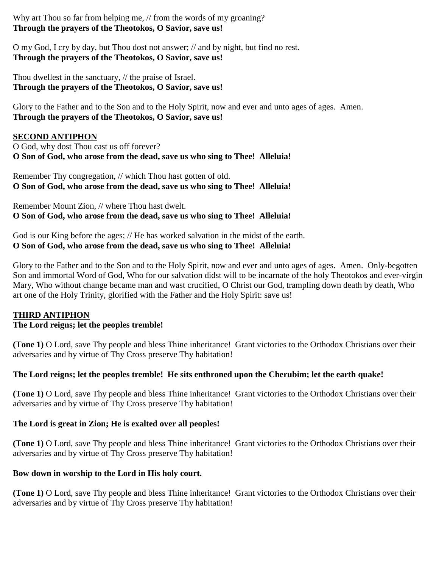Why art Thou so far from helping me, // from the words of my groaning? **Through the prayers of the Theotokos, O Savior, save us!**

O my God, I cry by day, but Thou dost not answer; // and by night, but find no rest. **Through the prayers of the Theotokos, O Savior, save us!**

Thou dwellest in the sanctuary, // the praise of Israel. **Through the prayers of the Theotokos, O Savior, save us!**

Glory to the Father and to the Son and to the Holy Spirit, now and ever and unto ages of ages. Amen. **Through the prayers of the Theotokos, O Savior, save us!**

# **SECOND ANTIPHON**

O God, why dost Thou cast us off forever? **O Son of God, who arose from the dead, save us who sing to Thee! Alleluia!**

Remember Thy congregation, // which Thou hast gotten of old. **O Son of God, who arose from the dead, save us who sing to Thee! Alleluia!**

Remember Mount Zion, // where Thou hast dwelt. **O Son of God, who arose from the dead, save us who sing to Thee! Alleluia!**

God is our King before the ages; // He has worked salvation in the midst of the earth. **O Son of God, who arose from the dead, save us who sing to Thee! Alleluia!**

Glory to the Father and to the Son and to the Holy Spirit, now and ever and unto ages of ages. Amen. Only-begotten Son and immortal Word of God, Who for our salvation didst will to be incarnate of the holy Theotokos and ever-virgin Mary, Who without change became man and wast crucified, O Christ our God, trampling down death by death, Who art one of the Holy Trinity, glorified with the Father and the Holy Spirit: save us!

# **THIRD ANTIPHON**

# **The Lord reigns; let the peoples tremble!**

**(Tone 1)** O Lord, save Thy people and bless Thine inheritance! Grant victories to the Orthodox Christians over their adversaries and by virtue of Thy Cross preserve Thy habitation!

# **The Lord reigns; let the peoples tremble! He sits enthroned upon the Cherubim; let the earth quake!**

**(Tone 1)** O Lord, save Thy people and bless Thine inheritance! Grant victories to the Orthodox Christians over their adversaries and by virtue of Thy Cross preserve Thy habitation!

# **The Lord is great in Zion; He is exalted over all peoples!**

**(Tone 1)** O Lord, save Thy people and bless Thine inheritance! Grant victories to the Orthodox Christians over their adversaries and by virtue of Thy Cross preserve Thy habitation!

# **Bow down in worship to the Lord in His holy court.**

**(Tone 1)** O Lord, save Thy people and bless Thine inheritance! Grant victories to the Orthodox Christians over their adversaries and by virtue of Thy Cross preserve Thy habitation!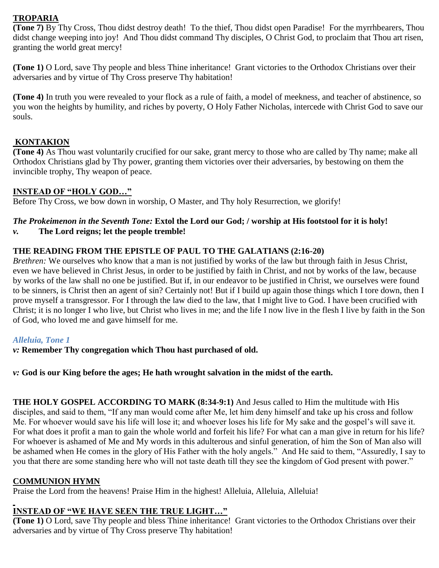# **TROPARIA**

**(Tone 7)** By Thy Cross, Thou didst destroy death! To the thief, Thou didst open Paradise! For the myrrhbearers, Thou didst change weeping into joy! And Thou didst command Thy disciples, O Christ God, to proclaim that Thou art risen, granting the world great mercy!

**(Tone 1)** O Lord, save Thy people and bless Thine inheritance! Grant victories to the Orthodox Christians over their adversaries and by virtue of Thy Cross preserve Thy habitation!

**(Tone 4)** In truth you were revealed to your flock as a rule of faith, a model of meekness, and teacher of abstinence, so you won the heights by humility, and riches by poverty, O Holy Father Nicholas, intercede with Christ God to save our souls.

# **KONTAKION**

**(Tone 4)** As Thou wast voluntarily crucified for our sake, grant mercy to those who are called by Thy name; make all Orthodox Christians glad by Thy power, granting them victories over their adversaries, by bestowing on them the invincible trophy, Thy weapon of peace.

#### **INSTEAD OF "HOLY GOD…"**

Before Thy Cross, we bow down in worship, O Master, and Thy holy Resurrection, we glorify!

# *The Prokeimenon in the Seventh Tone:* **Extol the Lord our God; / worship at His footstool for it is holy!**

*v.* **The Lord reigns; let the people tremble!**

#### **THE READING FROM THE EPISTLE OF PAUL TO THE GALATIANS (2:16-20)**

*Brethren:* We ourselves who know that a man is not justified by works of the law but through faith in Jesus Christ, even we have believed in Christ Jesus, in order to be justified by faith in Christ, and not by works of the law, because by works of the law shall no one be justified. But if, in our endeavor to be justified in Christ, we ourselves were found to be sinners, is Christ then an agent of sin? Certainly not! But if I build up again those things which I tore down, then I prove myself a transgressor. For I through the law died to the law, that I might live to God. I have been crucified with Christ; it is no longer I who live, but Christ who lives in me; and the life I now live in the flesh I live by faith in the Son of God, who loved me and gave himself for me.

#### *Alleluia, Tone 1*

*v:* **Remember Thy congregation which Thou hast purchased of old.**

*v:* **God is our King before the ages; He hath wrought salvation in the midst of the earth.**

**THE HOLY GOSPEL ACCORDING TO MARK (8:34-9:1)** And Jesus called to Him the multitude with His disciples, and said to them, "If any man would come after Me, let him deny himself and take up his cross and follow Me. For whoever would save his life will lose it; and whoever loses his life for My sake and the gospel's will save it. For what does it profit a man to gain the whole world and forfeit his life? For what can a man give in return for his life? For whoever is ashamed of Me and My words in this adulterous and sinful generation, of him the Son of Man also will be ashamed when He comes in the glory of His Father with the holy angels." And He said to them, "Assuredly, I say to you that there are some standing here who will not taste death till they see the kingdom of God present with power."

# **COMMUNION HYMN**

Praise the Lord from the heavens! Praise Him in the highest! Alleluia, Alleluia, Alleluia!

# **INSTEAD OF "WE HAVE SEEN THE TRUE LIGHT…"**

**(Tone 1)** O Lord, save Thy people and bless Thine inheritance! Grant victories to the Orthodox Christians over their adversaries and by virtue of Thy Cross preserve Thy habitation!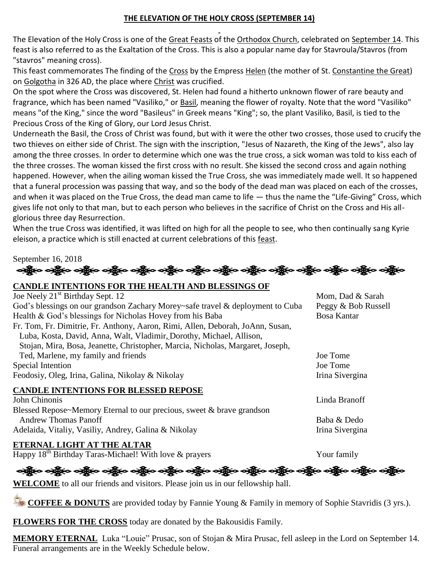# **THE ELEVATION OF THE HOLY CROSS (SEPTEMBER 14)**

The Elevation of the Holy Cross is one of the [Great Feasts](https://orthodoxwiki.org/Great_Feasts) of the [Orthodox Church,](https://orthodoxwiki.org/Orthodox_Church) celebrated on [September 14.](https://orthodoxwiki.org/September_14) This feast is also referred to as the Exaltation of the Cross. This is also a popular name day for Stavroula/Stavros (from "stavros" meaning cross).

This feast commemorates The finding of the [Cross](https://orthodoxwiki.org/Cross) by the Empress [Helen](https://orthodoxwiki.org/Helen) (the mother of St. [Constantine the Great\)](https://orthodoxwiki.org/Constantine_the_Great) on [Golgotha](https://orthodoxwiki.org/Golgotha) in 326 AD, the place where [Christ](https://orthodoxwiki.org/Jesus_Christ) was crucified.

On the spot where the Cross was discovered, St. Helen had found a hitherto unknown flower of rare beauty and fragrance, which has been named "Vasiliko," or **Basil**, meaning the flower of royalty. Note that the word "Vasiliko" means "of the King," since the word "Basileus" in Greek means "King"; so, the plant Vasiliko, Basil, is tied to the Precious Cross of the King of Glory, our Lord Jesus Christ.

Underneath the Basil, the Cross of Christ was found, but with it were the other two crosses, those used to crucify the two thieves on either side of Christ. The sign with the inscription, "Jesus of Nazareth, the King of the Jews", also lay among the three crosses. In order to determine which one was the true cross, a sick woman was told to kiss each of the three crosses. The woman kissed the first cross with no result. She kissed the second cross and again nothing happened. However, when the ailing woman kissed the True Cross, she was immediately made well. It so happened that a funeral procession was passing that way, and so the body of the dead man was placed on each of the crosses, and when it was placed on the True Cross, the dead man came to life — thus the name the "Life-Giving" Cross, which gives life not only to that man, but to each person who believes in the sacrifice of Christ on the Cross and His allglorious three day Resurrection.

When the true Cross was identified, it was lifted on high for all the people to see, who then continually sang Kyrie eleison, a practice which is still enacted at current celebrations of this [feast.](https://orthodoxwiki.org/Feast)

#### September 16, 2018

ခရွိက ခရွိက ခရွိက ခရွိက အိုင်း အိုင်း ခရွိက ခရွိက ခရွိက ခရွိက ခရွိက ခရွိက ခရွိက ခရွိက ခရွိက ခရွိက

#### **CANDLE INTENTIONS FOR THE HEALTH AND BLESSINGS OF**

| Joe Neely 21 <sup>st</sup> Birthday Sept. 12                                   | Mom, Dad & Sarah    |
|--------------------------------------------------------------------------------|---------------------|
| God's blessings on our grandson Zachary Morey~safe travel & deployment to Cuba | Peggy & Bob Russell |
| Health & God's blessings for Nicholas Hovey from his Baba                      | <b>Bosa Kantar</b>  |
| Fr. Tom, Fr. Dimitrie, Fr. Anthony, Aaron, Rimi, Allen, Deborah, JoAnn, Susan, |                     |
| Luba, Kosta, David, Anna, Walt, Vladimir, Dorothy, Michael, Allison,           |                     |
| Stojan, Mira, Bosa, Jeanette, Christopher, Marcia, Nicholas, Margaret, Joseph, |                     |
| Ted, Marlene, my family and friends                                            | Joe Tome            |
| Special Intention                                                              | Joe Tome            |
| Feodosiy, Oleg, Irina, Galina, Nikolay & Nikolay                               | Irina Sivergina     |
| <b>CANDLE INTENTIONS FOR BLESSED REPOSE</b>                                    |                     |
| John Chinonis                                                                  | Linda Branoff       |
| Blessed Repose~Memory Eternal to our precious, sweet & brave grandson          |                     |
| <b>Andrew Thomas Panoff</b>                                                    | Baba & Dedo         |
| Adelaida, Vitaliy, Vasiliy, Andrey, Galina & Nikolay                           | Irina Sivergina     |

# **ETERNAL LIGHT AT THE ALTAR**

Happy  $18^{th}$  Birthday Taras-Michael! With love  $\&$  prayers Your family

ခရွို့လ ခရွို့လ ခရွို့လ ခရွို့လ ခရွို့လ ခရွို့လ ခရွို့လ ခရွို့လ ခရွို့လ ခရွို့လ ခရွို့လ ခရွို့လ ခရွို့လ ခရွို့လ

**WELCOME** to all our friends and visitors. Please join us in our fellowship hall.

**COFFEE & DONUTS** are provided today by Fannie Young & Family in memory of Sophie Stavridis (3 yrs.).

**FLOWERS FOR THE CROSS** today are donated by the Bakousidis Family.

**MEMORY ETERNAL** Luka "Louie" Prusac, son of Stojan & Mira Prusac, fell asleep in the Lord on September 14. Funeral arrangements are in the Weekly Schedule below.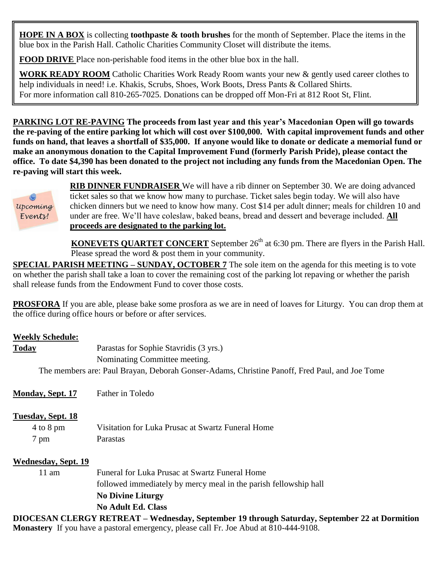**HOPE IN A BOX** is collecting **toothpaste & tooth brushes** for the month of September. Place the items in the blue box in the Parish Hall. Catholic Charities Community Closet will distribute the items.

**FOOD DRIVE** Place non-perishable food items in the other blue box in the hall.

**WORK READY ROOM** Catholic Charities Work Ready Room wants your new & gently used career clothes to help individuals in need! i.e. Khakis, Scrubs, Shoes, Work Boots, Dress Pants & Collared Shirts. For more information call 810-265-7025. Donations can be dropped off Mon-Fri at 812 Root St, Flint.

**PARKING LOT RE-PAVING The proceeds from last year and this year's Macedonian Open will go towards the re-paving of the entire parking lot which will cost over \$100,000. With capital improvement funds and other funds on hand, that leaves a shortfall of \$35,000. If anyone would like to donate or dedicate a memorial fund or make an anonymous donation to the Capital Improvement Fund (formerly Parish Pride), please contact the office. To date \$4,390 has been donated to the project not including any funds from the Macedonian Open. The re-paving will start this week.**



**RIB DINNER FUNDRAISER** We will have a rib dinner on September 30. We are doing advanced ticket sales so that we know how many to purchase. Ticket sales begin today. We will also have chicken dinners but we need to know how many. Cost \$14 per adult dinner; meals for children 10 and under are free. We'll have coleslaw, baked beans, bread and dessert and beverage included. **All proceeds are designated to the parking lot.**

**KONEVETS QUARTET CONCERT** September 26<sup>th</sup> at 6:30 pm. There are flyers in the Parish Hall. Please spread the word  $\&$  post them in your community.

**SPECIAL PARISH MEETING – SUNDAY, OCTOBER 7** The sole item on the agenda for this meeting is to vote on whether the parish shall take a loan to cover the remaining cost of the parking lot repaving or whether the parish shall release funds from the Endowment Fund to cover those costs.

**PROSFORA** If you are able, please bake some prosfora as we are in need of loaves for Liturgy. You can drop them at the office during office hours or before or after services.

# **Weekly Schedule:**

| .                                                                                             |
|-----------------------------------------------------------------------------------------------|
| Parastas for Sophie Stavridis (3 yrs.)                                                        |
| Nominating Committee meeting.                                                                 |
| The members are: Paul Brayan, Deborah Gonser-Adams, Christine Panoff, Fred Paul, and Joe Tome |
| <b>Today</b>                                                                                  |

| <b>Monday, Sept. 17</b>            | Father in Toledo                                                                          |
|------------------------------------|-------------------------------------------------------------------------------------------|
| Tuesday, Sept. 18<br>$4$ to $8$ pm | Visitation for Luka Prusac at Swartz Funeral Home                                         |
| 7 pm                               | Parastas                                                                                  |
| <b>Wednesday, Sept. 19</b>         |                                                                                           |
| $11 \text{ am}$                    | Funeral for Luka Prusac at Swartz Funeral Home                                            |
|                                    | followed immediately by mercy meal in the parish fellowship hall                          |
|                                    | <b>No Divine Liturgy</b>                                                                  |
|                                    | <b>No Adult Ed. Class</b>                                                                 |
|                                    | DIOCESAN CLEDCV DETDEAT Modnosday Sontomber 10 through Soturday Sontomber 22 of Dormition |

**DIOCESAN CLERGY RETREAT – Wednesday, September 19 through Saturday, September 22 at Dormition Monastery** If you have a pastoral emergency, please call Fr. Joe Abud at 810-444-9108.